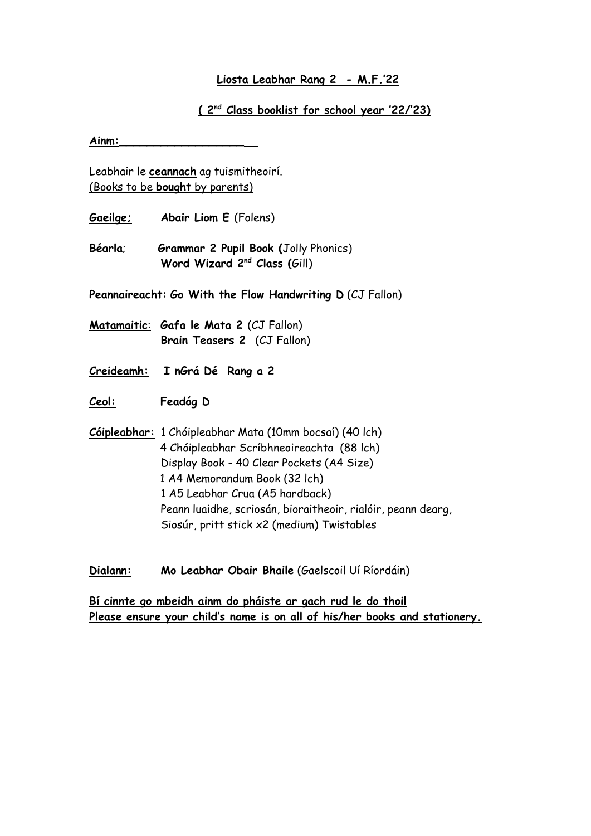## **Liosta Leabhar Rang 2 - M.F.'22**

## **( 2nd Class booklist for school year '22/'23)**

**Ainm:\_\_\_\_\_\_\_\_\_\_\_\_\_\_\_\_\_\_** 

Leabhair le **ceannach** ag tuismitheoirí. (Books to be **bought** by parents)

- **Gaeilge; Abair Liom E** (Folens)
- **Béarla**; **Grammar 2 Pupil Book (**Jolly Phonics) **Word Wizard 2nd Class (**Gill)

**Peannaireacht: Go With the Flow Handwriting D** (CJ Fallon)

**Matamaitic**: **Gafa le Mata 2** (CJ Fallon) **Brain Teasers 2** (CJ Fallon)

**Creideamh: I nGrá Dé Rang a 2**

**Ceol: Feadóg D**

**Cóipleabhar:** 1 Chóipleabhar Mata (10mm bocsaí) (40 lch) 4 Chóipleabhar Scríbhneoireachta (88 lch) Display Book - 40 Clear Pockets (A4 Size) 1 A4 Memorandum Book (32 lch) 1 A5 Leabhar Crua (A5 hardback) Peann luaidhe, scriosán, bioraitheoir, rialóir, peann dearg, Siosúr, pritt stick x2 (medium) Twistables

**Dialann: Mo Leabhar Obair Bhaile** (Gaelscoil Uí Ríordáin)

**Bí cinnte go mbeidh ainm do pháiste ar gach rud le do thoil Please ensure your child's name is on all of his/her books and stationery.**